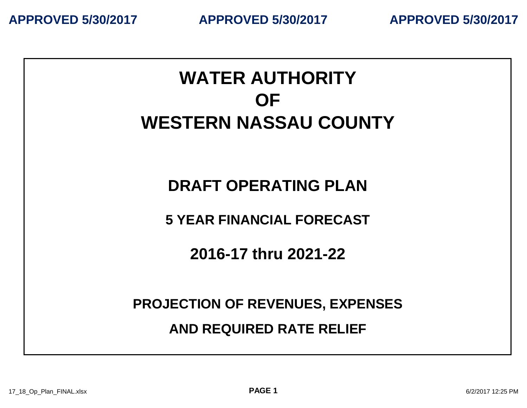**APPROVED 5/30/2017 APPROVED 5/30/2017 APPROVED 5/30/2017**

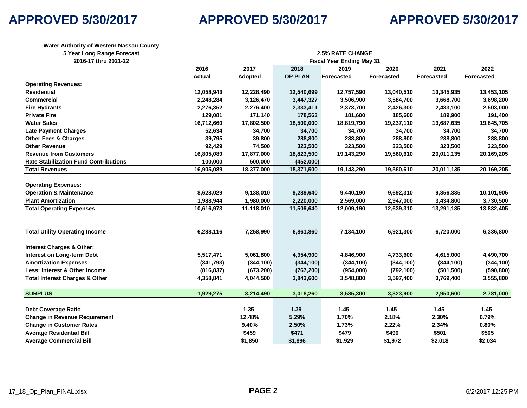# **APPROVED 5/30/2017 APPROVED 5/30/2017 APPROVED 5/30/2017**

| 5 Year Long Range Forecast<br><b>2.5% RATE CHANGE</b><br>2016-17 thru 2021-22<br><b>Fiscal Year Ending May 31</b><br>2016<br>2017<br>2018<br>2019<br>2020<br>2021<br>2022<br><b>OP PLAN</b><br><b>Actual</b><br><b>Forecasted</b><br>Forecasted<br><b>Forecasted</b><br><b>Forecasted</b><br><b>Adopted</b><br><b>Operating Revenues:</b><br>12,058,943<br>12,540,699<br>12,757,590<br>13,040,510<br>13,345,935<br>13,453,105<br>12,228,490<br>2,248,284<br>3,126,470<br>3,447,327<br>3,506,900<br>3,584,700<br>3,668,700<br>3,698,200<br>2,276,352<br>2,373,700<br>2,503,000<br>2,276,400<br>2,333,411<br>2,426,300<br>2,483,100<br>129,081<br>171,140<br>178,563<br>181,600<br>185,600<br>189,900<br>191,400<br>16,712,660<br>19,845,705<br>17,802,500<br>18,500,000<br>18,819,790<br>19,237,110<br>19,687,635<br>34,700<br>34,700<br>52,634<br>34,700<br>34,700<br>34,700<br>34,700<br>39,795<br>39,800<br>288,800<br>288,800<br>288,800<br>288,800<br>288,800<br>92,429<br>74,500<br>323,500<br>323,500<br>323,500<br>323,500<br>323,500<br>16,805,089<br>18,823,500<br>17,877,000<br>19,143,290<br>19,560,610<br>20,011,135<br>20,169,205<br>100,000<br>(452,000)<br>500,000<br>16,905,089<br>18,377,000<br>18,371,500<br>19,143,290<br>19,560,610<br>20,169,205<br>20,011,135<br><b>Operating Expenses:</b><br><b>Operation &amp; Maintenance</b><br>8,628,029<br>9,138,010<br>9,289,640<br>9,440,190<br>9,692,310<br>9,856,335<br>10,101,905<br>1,988,944<br><b>Plant Amortization</b><br>1,980,000<br>2,220,000<br>2,569,000<br>2,947,000<br>3,434,800<br>3,730,500<br>10,616,973<br>12,009,190<br>11,118,010<br>11,509,640<br>12,639,310<br>13,291,135<br>13,832,405<br>7,258,990<br>6,288,116<br>6,861,860<br>7,134,100<br>6,921,300<br>6,720,000<br>6,336,800<br>5,517,471<br>5,061,800<br>4,954,900<br>4,846,900<br>4,733,600<br>4,615,000<br>4,490,700<br>(341,793)<br>(344, 100)<br>(344, 100)<br>(344, 100)<br>(344, 100)<br>(344, 100)<br>(344, 100)<br>(816, 837)<br>(673, 200)<br>(767, 200)<br>(954,000)<br>(792, 100)<br>(501, 500)<br>(590, 800)<br>4,358,841<br>3,843,600<br>3,555,800<br>4,044,500<br>3,548,800<br>3,597,400<br>3,769,400<br>1,929,275<br>3,585,300<br>2,950,600<br>2,781,000<br>3,214,490<br>3,018,260<br>3,323,900<br>1.35<br>1.39<br>1.45<br>1.45<br><b>Debt Coverage Ratio</b><br>1.45<br>1.45<br><b>Change in Revenue Requirement</b><br>12.48%<br>5.29%<br>2.18%<br>2.30%<br>1.70%<br>0.79%<br><b>Change in Customer Rates</b><br>9.40%<br>2.50%<br>2.22%<br>2.34%<br>1.73%<br>0.80% | Water Authority of Western Nassau County     |  |       |       |       |       |       |       |  |
|-----------------------------------------------------------------------------------------------------------------------------------------------------------------------------------------------------------------------------------------------------------------------------------------------------------------------------------------------------------------------------------------------------------------------------------------------------------------------------------------------------------------------------------------------------------------------------------------------------------------------------------------------------------------------------------------------------------------------------------------------------------------------------------------------------------------------------------------------------------------------------------------------------------------------------------------------------------------------------------------------------------------------------------------------------------------------------------------------------------------------------------------------------------------------------------------------------------------------------------------------------------------------------------------------------------------------------------------------------------------------------------------------------------------------------------------------------------------------------------------------------------------------------------------------------------------------------------------------------------------------------------------------------------------------------------------------------------------------------------------------------------------------------------------------------------------------------------------------------------------------------------------------------------------------------------------------------------------------------------------------------------------------------------------------------------------------------------------------------------------------------------------------------------------------------------------------------------------------------------------------------------------------------------------------------------------------------------------------------------------------------------------------------------------------------------------------------------------------------------------------------------------------------------|----------------------------------------------|--|-------|-------|-------|-------|-------|-------|--|
|                                                                                                                                                                                                                                                                                                                                                                                                                                                                                                                                                                                                                                                                                                                                                                                                                                                                                                                                                                                                                                                                                                                                                                                                                                                                                                                                                                                                                                                                                                                                                                                                                                                                                                                                                                                                                                                                                                                                                                                                                                                                                                                                                                                                                                                                                                                                                                                                                                                                                                                                   |                                              |  |       |       |       |       |       |       |  |
|                                                                                                                                                                                                                                                                                                                                                                                                                                                                                                                                                                                                                                                                                                                                                                                                                                                                                                                                                                                                                                                                                                                                                                                                                                                                                                                                                                                                                                                                                                                                                                                                                                                                                                                                                                                                                                                                                                                                                                                                                                                                                                                                                                                                                                                                                                                                                                                                                                                                                                                                   |                                              |  |       |       |       |       |       |       |  |
|                                                                                                                                                                                                                                                                                                                                                                                                                                                                                                                                                                                                                                                                                                                                                                                                                                                                                                                                                                                                                                                                                                                                                                                                                                                                                                                                                                                                                                                                                                                                                                                                                                                                                                                                                                                                                                                                                                                                                                                                                                                                                                                                                                                                                                                                                                                                                                                                                                                                                                                                   |                                              |  |       |       |       |       |       |       |  |
|                                                                                                                                                                                                                                                                                                                                                                                                                                                                                                                                                                                                                                                                                                                                                                                                                                                                                                                                                                                                                                                                                                                                                                                                                                                                                                                                                                                                                                                                                                                                                                                                                                                                                                                                                                                                                                                                                                                                                                                                                                                                                                                                                                                                                                                                                                                                                                                                                                                                                                                                   |                                              |  |       |       |       |       |       |       |  |
|                                                                                                                                                                                                                                                                                                                                                                                                                                                                                                                                                                                                                                                                                                                                                                                                                                                                                                                                                                                                                                                                                                                                                                                                                                                                                                                                                                                                                                                                                                                                                                                                                                                                                                                                                                                                                                                                                                                                                                                                                                                                                                                                                                                                                                                                                                                                                                                                                                                                                                                                   |                                              |  |       |       |       |       |       |       |  |
|                                                                                                                                                                                                                                                                                                                                                                                                                                                                                                                                                                                                                                                                                                                                                                                                                                                                                                                                                                                                                                                                                                                                                                                                                                                                                                                                                                                                                                                                                                                                                                                                                                                                                                                                                                                                                                                                                                                                                                                                                                                                                                                                                                                                                                                                                                                                                                                                                                                                                                                                   | <b>Residential</b>                           |  |       |       |       |       |       |       |  |
|                                                                                                                                                                                                                                                                                                                                                                                                                                                                                                                                                                                                                                                                                                                                                                                                                                                                                                                                                                                                                                                                                                                                                                                                                                                                                                                                                                                                                                                                                                                                                                                                                                                                                                                                                                                                                                                                                                                                                                                                                                                                                                                                                                                                                                                                                                                                                                                                                                                                                                                                   | Commercial                                   |  |       |       |       |       |       |       |  |
|                                                                                                                                                                                                                                                                                                                                                                                                                                                                                                                                                                                                                                                                                                                                                                                                                                                                                                                                                                                                                                                                                                                                                                                                                                                                                                                                                                                                                                                                                                                                                                                                                                                                                                                                                                                                                                                                                                                                                                                                                                                                                                                                                                                                                                                                                                                                                                                                                                                                                                                                   | <b>Fire Hydrants</b>                         |  |       |       |       |       |       |       |  |
|                                                                                                                                                                                                                                                                                                                                                                                                                                                                                                                                                                                                                                                                                                                                                                                                                                                                                                                                                                                                                                                                                                                                                                                                                                                                                                                                                                                                                                                                                                                                                                                                                                                                                                                                                                                                                                                                                                                                                                                                                                                                                                                                                                                                                                                                                                                                                                                                                                                                                                                                   | <b>Private Fire</b>                          |  |       |       |       |       |       |       |  |
|                                                                                                                                                                                                                                                                                                                                                                                                                                                                                                                                                                                                                                                                                                                                                                                                                                                                                                                                                                                                                                                                                                                                                                                                                                                                                                                                                                                                                                                                                                                                                                                                                                                                                                                                                                                                                                                                                                                                                                                                                                                                                                                                                                                                                                                                                                                                                                                                                                                                                                                                   | <b>Water Sales</b>                           |  |       |       |       |       |       |       |  |
|                                                                                                                                                                                                                                                                                                                                                                                                                                                                                                                                                                                                                                                                                                                                                                                                                                                                                                                                                                                                                                                                                                                                                                                                                                                                                                                                                                                                                                                                                                                                                                                                                                                                                                                                                                                                                                                                                                                                                                                                                                                                                                                                                                                                                                                                                                                                                                                                                                                                                                                                   | <b>Late Payment Charges</b>                  |  |       |       |       |       |       |       |  |
|                                                                                                                                                                                                                                                                                                                                                                                                                                                                                                                                                                                                                                                                                                                                                                                                                                                                                                                                                                                                                                                                                                                                                                                                                                                                                                                                                                                                                                                                                                                                                                                                                                                                                                                                                                                                                                                                                                                                                                                                                                                                                                                                                                                                                                                                                                                                                                                                                                                                                                                                   | <b>Other Fees &amp; Charges</b>              |  |       |       |       |       |       |       |  |
|                                                                                                                                                                                                                                                                                                                                                                                                                                                                                                                                                                                                                                                                                                                                                                                                                                                                                                                                                                                                                                                                                                                                                                                                                                                                                                                                                                                                                                                                                                                                                                                                                                                                                                                                                                                                                                                                                                                                                                                                                                                                                                                                                                                                                                                                                                                                                                                                                                                                                                                                   | <b>Other Revenue</b>                         |  |       |       |       |       |       |       |  |
|                                                                                                                                                                                                                                                                                                                                                                                                                                                                                                                                                                                                                                                                                                                                                                                                                                                                                                                                                                                                                                                                                                                                                                                                                                                                                                                                                                                                                                                                                                                                                                                                                                                                                                                                                                                                                                                                                                                                                                                                                                                                                                                                                                                                                                                                                                                                                                                                                                                                                                                                   | <b>Revenue from Customers</b>                |  |       |       |       |       |       |       |  |
|                                                                                                                                                                                                                                                                                                                                                                                                                                                                                                                                                                                                                                                                                                                                                                                                                                                                                                                                                                                                                                                                                                                                                                                                                                                                                                                                                                                                                                                                                                                                                                                                                                                                                                                                                                                                                                                                                                                                                                                                                                                                                                                                                                                                                                                                                                                                                                                                                                                                                                                                   | <b>Rate Stabilization Fund Contributions</b> |  |       |       |       |       |       |       |  |
|                                                                                                                                                                                                                                                                                                                                                                                                                                                                                                                                                                                                                                                                                                                                                                                                                                                                                                                                                                                                                                                                                                                                                                                                                                                                                                                                                                                                                                                                                                                                                                                                                                                                                                                                                                                                                                                                                                                                                                                                                                                                                                                                                                                                                                                                                                                                                                                                                                                                                                                                   | <b>Total Revenues</b>                        |  |       |       |       |       |       |       |  |
|                                                                                                                                                                                                                                                                                                                                                                                                                                                                                                                                                                                                                                                                                                                                                                                                                                                                                                                                                                                                                                                                                                                                                                                                                                                                                                                                                                                                                                                                                                                                                                                                                                                                                                                                                                                                                                                                                                                                                                                                                                                                                                                                                                                                                                                                                                                                                                                                                                                                                                                                   |                                              |  |       |       |       |       |       |       |  |
|                                                                                                                                                                                                                                                                                                                                                                                                                                                                                                                                                                                                                                                                                                                                                                                                                                                                                                                                                                                                                                                                                                                                                                                                                                                                                                                                                                                                                                                                                                                                                                                                                                                                                                                                                                                                                                                                                                                                                                                                                                                                                                                                                                                                                                                                                                                                                                                                                                                                                                                                   |                                              |  |       |       |       |       |       |       |  |
|                                                                                                                                                                                                                                                                                                                                                                                                                                                                                                                                                                                                                                                                                                                                                                                                                                                                                                                                                                                                                                                                                                                                                                                                                                                                                                                                                                                                                                                                                                                                                                                                                                                                                                                                                                                                                                                                                                                                                                                                                                                                                                                                                                                                                                                                                                                                                                                                                                                                                                                                   |                                              |  |       |       |       |       |       |       |  |
|                                                                                                                                                                                                                                                                                                                                                                                                                                                                                                                                                                                                                                                                                                                                                                                                                                                                                                                                                                                                                                                                                                                                                                                                                                                                                                                                                                                                                                                                                                                                                                                                                                                                                                                                                                                                                                                                                                                                                                                                                                                                                                                                                                                                                                                                                                                                                                                                                                                                                                                                   | <b>Total Operating Expenses</b>              |  |       |       |       |       |       |       |  |
|                                                                                                                                                                                                                                                                                                                                                                                                                                                                                                                                                                                                                                                                                                                                                                                                                                                                                                                                                                                                                                                                                                                                                                                                                                                                                                                                                                                                                                                                                                                                                                                                                                                                                                                                                                                                                                                                                                                                                                                                                                                                                                                                                                                                                                                                                                                                                                                                                                                                                                                                   |                                              |  |       |       |       |       |       |       |  |
|                                                                                                                                                                                                                                                                                                                                                                                                                                                                                                                                                                                                                                                                                                                                                                                                                                                                                                                                                                                                                                                                                                                                                                                                                                                                                                                                                                                                                                                                                                                                                                                                                                                                                                                                                                                                                                                                                                                                                                                                                                                                                                                                                                                                                                                                                                                                                                                                                                                                                                                                   | <b>Total Utility Operating Income</b>        |  |       |       |       |       |       |       |  |
|                                                                                                                                                                                                                                                                                                                                                                                                                                                                                                                                                                                                                                                                                                                                                                                                                                                                                                                                                                                                                                                                                                                                                                                                                                                                                                                                                                                                                                                                                                                                                                                                                                                                                                                                                                                                                                                                                                                                                                                                                                                                                                                                                                                                                                                                                                                                                                                                                                                                                                                                   | <b>Interest Charges &amp; Other:</b>         |  |       |       |       |       |       |       |  |
|                                                                                                                                                                                                                                                                                                                                                                                                                                                                                                                                                                                                                                                                                                                                                                                                                                                                                                                                                                                                                                                                                                                                                                                                                                                                                                                                                                                                                                                                                                                                                                                                                                                                                                                                                                                                                                                                                                                                                                                                                                                                                                                                                                                                                                                                                                                                                                                                                                                                                                                                   | Interest on Long-term Debt                   |  |       |       |       |       |       |       |  |
|                                                                                                                                                                                                                                                                                                                                                                                                                                                                                                                                                                                                                                                                                                                                                                                                                                                                                                                                                                                                                                                                                                                                                                                                                                                                                                                                                                                                                                                                                                                                                                                                                                                                                                                                                                                                                                                                                                                                                                                                                                                                                                                                                                                                                                                                                                                                                                                                                                                                                                                                   | <b>Amortization Expenses</b>                 |  |       |       |       |       |       |       |  |
|                                                                                                                                                                                                                                                                                                                                                                                                                                                                                                                                                                                                                                                                                                                                                                                                                                                                                                                                                                                                                                                                                                                                                                                                                                                                                                                                                                                                                                                                                                                                                                                                                                                                                                                                                                                                                                                                                                                                                                                                                                                                                                                                                                                                                                                                                                                                                                                                                                                                                                                                   | Less: Interest & Other Income                |  |       |       |       |       |       |       |  |
|                                                                                                                                                                                                                                                                                                                                                                                                                                                                                                                                                                                                                                                                                                                                                                                                                                                                                                                                                                                                                                                                                                                                                                                                                                                                                                                                                                                                                                                                                                                                                                                                                                                                                                                                                                                                                                                                                                                                                                                                                                                                                                                                                                                                                                                                                                                                                                                                                                                                                                                                   | <b>Total Interest Charges &amp; Other</b>    |  |       |       |       |       |       |       |  |
|                                                                                                                                                                                                                                                                                                                                                                                                                                                                                                                                                                                                                                                                                                                                                                                                                                                                                                                                                                                                                                                                                                                                                                                                                                                                                                                                                                                                                                                                                                                                                                                                                                                                                                                                                                                                                                                                                                                                                                                                                                                                                                                                                                                                                                                                                                                                                                                                                                                                                                                                   | <b>SURPLUS</b>                               |  |       |       |       |       |       |       |  |
|                                                                                                                                                                                                                                                                                                                                                                                                                                                                                                                                                                                                                                                                                                                                                                                                                                                                                                                                                                                                                                                                                                                                                                                                                                                                                                                                                                                                                                                                                                                                                                                                                                                                                                                                                                                                                                                                                                                                                                                                                                                                                                                                                                                                                                                                                                                                                                                                                                                                                                                                   |                                              |  |       |       |       |       |       |       |  |
|                                                                                                                                                                                                                                                                                                                                                                                                                                                                                                                                                                                                                                                                                                                                                                                                                                                                                                                                                                                                                                                                                                                                                                                                                                                                                                                                                                                                                                                                                                                                                                                                                                                                                                                                                                                                                                                                                                                                                                                                                                                                                                                                                                                                                                                                                                                                                                                                                                                                                                                                   |                                              |  |       |       |       |       |       |       |  |
|                                                                                                                                                                                                                                                                                                                                                                                                                                                                                                                                                                                                                                                                                                                                                                                                                                                                                                                                                                                                                                                                                                                                                                                                                                                                                                                                                                                                                                                                                                                                                                                                                                                                                                                                                                                                                                                                                                                                                                                                                                                                                                                                                                                                                                                                                                                                                                                                                                                                                                                                   |                                              |  |       |       |       |       |       |       |  |
|                                                                                                                                                                                                                                                                                                                                                                                                                                                                                                                                                                                                                                                                                                                                                                                                                                                                                                                                                                                                                                                                                                                                                                                                                                                                                                                                                                                                                                                                                                                                                                                                                                                                                                                                                                                                                                                                                                                                                                                                                                                                                                                                                                                                                                                                                                                                                                                                                                                                                                                                   | <b>Average Residential Bill</b>              |  | \$459 | \$471 | \$479 | \$490 | \$501 | \$505 |  |
| \$1,850<br>\$1,896<br>\$1,929<br>\$1,972<br>\$2,018<br>\$2,034                                                                                                                                                                                                                                                                                                                                                                                                                                                                                                                                                                                                                                                                                                                                                                                                                                                                                                                                                                                                                                                                                                                                                                                                                                                                                                                                                                                                                                                                                                                                                                                                                                                                                                                                                                                                                                                                                                                                                                                                                                                                                                                                                                                                                                                                                                                                                                                                                                                                    | <b>Average Commercial Bill</b>               |  |       |       |       |       |       |       |  |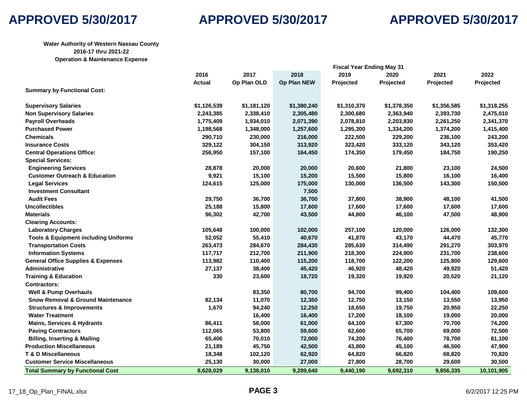

## **Water Authority of Western Nassau County 2016-17 thru 2021-22 Operation & Maintenance Expense**

|                                                 | <b>Fiscal Year Ending May 31</b> |             |             |             |             |             |             |
|-------------------------------------------------|----------------------------------|-------------|-------------|-------------|-------------|-------------|-------------|
|                                                 | 2016                             | 2017        | 2018        | 2019        | 2020        | 2021        | 2022        |
|                                                 | Actual                           | Op Plan OLD | Op Plan NEW | Projected   | Projected   | Projected   | Projected   |
| <b>Summary by Functional Cost:</b>              |                                  |             |             |             |             |             |             |
| <b>Supervisory Salaries</b>                     | \$1,126,539                      | \$1,181,120 | \$1,380,240 | \$1,310,370 | \$1,378,350 | \$1,356,585 | \$1,318,255 |
| <b>Non Supervisory Salaries</b>                 | 2,243,385                        | 2,338,410   | 2,305,480   | 2,300,680   | 2,363,940   | 2,393,730   | 2,475,010   |
| <b>Payroll Overheads</b>                        | 1,775,409                        | 1,934,010   | 2,071,390   | 2,078,810   | 2,203,830   | 2,261,250   | 2,341,370   |
| <b>Purchased Power</b>                          | 1,198,568                        | 1,348,000   | 1,257,600   | 1,295,300   | 1,334,200   | 1,374,200   | 1,415,400   |
| <b>Chemicals</b>                                | 290,710                          | 230,000     | 216,000     | 222,500     | 229,200     | 236,100     | 243,200     |
| <b>Insurance Costs</b>                          | 329,122                          | 304,150     | 313,920     | 323,420     | 333,120     | 343,120     | 353,420     |
| <b>Central Operations Office:</b>               | 256,950                          | 157,100     | 164,450     | 174,350     | 179,450     | 184,750     | 190,250     |
| <b>Special Services:</b>                        |                                  |             |             |             |             |             |             |
| <b>Engineering Services</b>                     | 28,878                           | 20,000      | 20,000      | 20,600      | 21,800      | 23,100      | 24,500      |
| <b>Customer Outreach &amp; Education</b>        | 9,921                            | 15,100      | 15,200      | 15,500      | 15,800      | 16,100      | 16,400      |
| <b>Legal Services</b>                           | 124,615                          | 125,000     | 175,000     | 130,000     | 136,500     | 143,300     | 150,500     |
| <b>Investment Consultant</b>                    |                                  |             | 7,500       |             |             |             |             |
| <b>Audit Fees</b>                               | 29,750                           | 36,700      | 36,700      | 37,800      | 38,900      | 48,100      | 41,500      |
| <b>Uncollectibles</b>                           | 25,188                           | 15,800      | 17,600      | 17,600      | 17,600      | 17,600      | 17,600      |
| <b>Materials</b>                                | 96,302                           | 42,700      | 43,500      | 44,800      | 46,100      | 47,500      | 48,900      |
| <b>Clearing Accounts:</b>                       |                                  |             |             |             |             |             |             |
| <b>Laboratory Charges</b>                       | 105,648                          | 100,000     | 102,000     | 257,100     | 120,000     | 126,000     | 132,300     |
| <b>Tools &amp; Equipment including Uniforms</b> | 52,052                           | 55,410      | 40,670      | 41,870      | 43,170      | 44,470      | 45,770      |
| <b>Transportation Costs</b>                     | 263,473                          | 284,670     | 284,430     | 285,630     | 314,490     | 291,270     | 303,970     |
| <b>Information Systems</b>                      | 117,717                          | 212,700     | 211,900     | 218,300     | 224,900     | 231,700     | 238,600     |
| <b>General Office Supplies &amp; Expenses</b>   | 113,982                          | 110,400     | 115,200     | 118,700     | 122,200     | 125,800     | 129,600     |
| <b>Administrative</b>                           | 27,137                           | 38,400      | 45,420      | 46,920      | 48,420      | 49,920      | 51,420      |
| <b>Training &amp; Education</b>                 | 330                              | 23,600      | 18,720      | 19,320      | 19,920      | 20,520      | 21,120      |
| <b>Contractors:</b>                             |                                  |             |             |             |             |             |             |
| <b>Well &amp; Pump Overhauls</b>                |                                  | 83,350      | 80,700      | 94,700      | 99,400      | 104,400     | 109,600     |
| <b>Snow Removal &amp; Ground Maintenance</b>    | 82,134                           | 11,070      | 12,350      | 12,750      | 13,150      | 13,550      | 13,950      |
| <b>Structures &amp; Improvements</b>            | 1,670                            | 94,240      | 12,250      | 18,650      | 19,750      | 20,950      | 22,250      |
| <b>Water Treatment</b>                          |                                  | 16,400      | 16,400      | 17,200      | 18,100      | 19,000      | 20,000      |
| <b>Mains, Services &amp; Hydrants</b>           | 86,411                           | 58,000      | 61,000      | 64,100      | 67,300      | 70,700      | 74,200      |
| <b>Paving Contractors</b>                       | 112,065                          | 53,800      | 59,600      | 62,600      | 65,700      | 69,000      | 72,500      |
| <b>Billing, Inserting &amp; Mailing</b>         | 65,406                           | 70,010      | 72,000      | 74,200      | 76,400      | 78,700      | 81,100      |
| <b>Production Miscellaneous</b>                 | 21,189                           | 45,750      | 42,500      | 43,800      | 45,100      | 46,500      | 47,900      |
| <b>T &amp; D Miscellaneous</b>                  | 18,348                           | 102,120     | 62,920      | 64,820      | 66,820      | 68,820      | 70,820      |
| <b>Customer Service Miscellaneous</b>           | 25,130                           | 30,000      | 27,000      | 27,800      | 28,700      | 29,600      | 30,500      |
| <b>Total Summary by Functional Cost</b>         | 8,628,029                        | 9,138,010   | 9,289,640   | 9,440,190   | 9,692,310   | 9,856,335   | 10,101,905  |